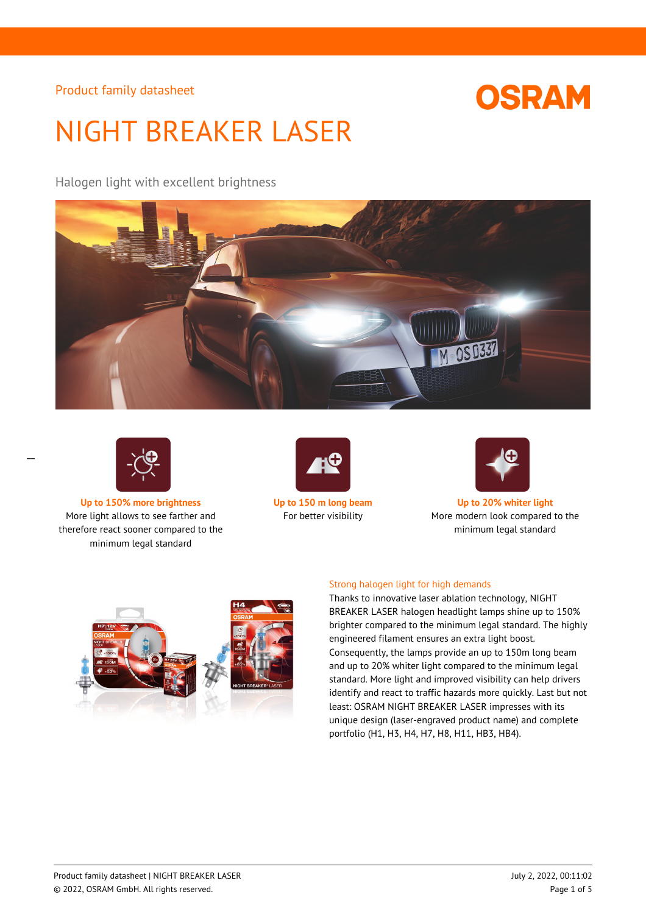# **OSRAM**

# NIGHT BREAKER LASER

Halogen light with excellent brightness





 $\overline{a}$ 

**Up to 150% more brightness Up to 150 m long beam Up to 20% whiter light** More light allows to see farther and therefore react sooner compared to the minimum legal standard





For better visibility More modern look compared to the minimum legal standard



### Strong halogen light for high demands

Thanks to innovative laser ablation technology, NIGHT BREAKER LASER halogen headlight lamps shine up to 150% brighter compared to the minimum legal standard. The highly engineered filament ensures an extra light boost. Consequently, the lamps provide an up to 150m long beam and up to 20% whiter light compared to the minimum legal standard. More light and improved visibility can help drivers identify and react to traffic hazards more quickly. Last but not least: OSRAM NIGHT BREAKER LASER impresses with its unique design (laser-engraved product name) and complete portfolio (H1, H3, H4, H7, H8, H11, HB3, HB4).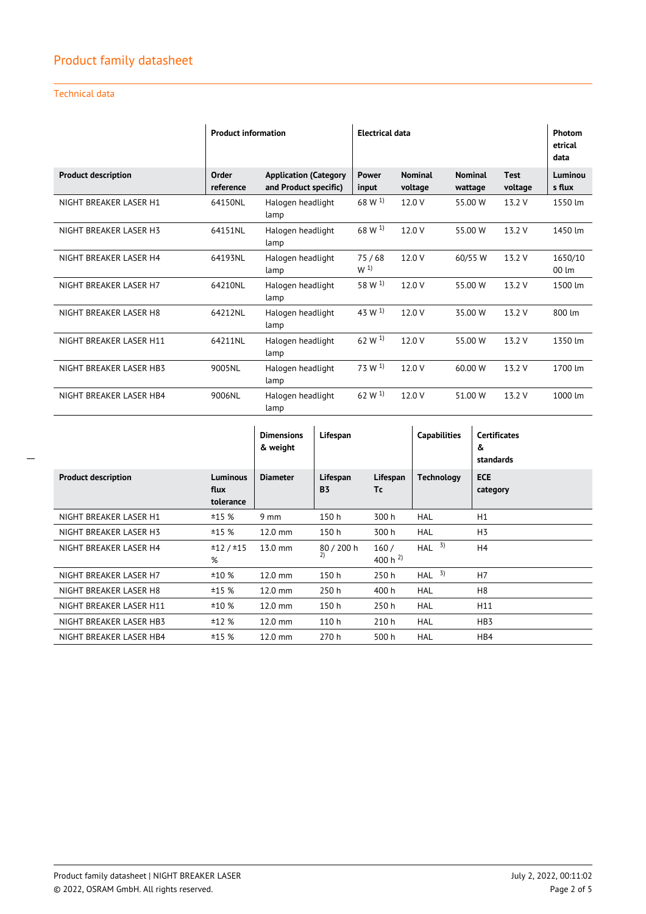## Technical data

|                            | <b>Product information</b> |                                                       | <b>Electrical data</b>  |                           |                           |                        | Photom<br>etrical<br>data    |
|----------------------------|----------------------------|-------------------------------------------------------|-------------------------|---------------------------|---------------------------|------------------------|------------------------------|
| <b>Product description</b> | Order<br>reference         | <b>Application (Category</b><br>and Product specific) | <b>Power</b><br>input   | <b>Nominal</b><br>voltage | <b>Nominal</b><br>wattage | <b>Test</b><br>voltage | Luminou<br>s flux            |
| NIGHT BREAKER LASER H1     | 64150NL                    | Halogen headlight<br>lamp                             | 68 W $^{1}$             | 12.0 V                    | 55.00 W                   | 13.2 V                 | 1550 lm                      |
| NIGHT BREAKER LASER H3     | 64151NL                    | Halogen headlight<br>lamp                             | $68 W^{1}$              | 12.0 V                    | 55.00 W                   | 13.2 V                 | 1450 lm                      |
| NIGHT BREAKER LASER H4     | 64193NL                    | Halogen headlight<br>lamp                             | 75/68<br>W <sup>1</sup> | 12.0 V                    | 60/55 W                   | 13.2 V                 | 1650/10<br>$00 \, \text{Im}$ |
| NIGHT BREAKER LASER H7     | 64210NL                    | Halogen headlight<br>lamp                             | 58 W <sup>1)</sup>      | 12.0 V                    | 55.00 W                   | 13.2 V                 | 1500 lm                      |
| NIGHT BREAKER LASER H8     | 64212NL                    | Halogen headlight<br>lamp                             | 43 W <sup>1)</sup>      | 12.0 V                    | 35.00 W                   | 13.2 V                 | 800 lm                       |
| NIGHT BREAKER LASER H11    | 64211NL                    | Halogen headlight<br>lamp                             | 62 W <sup>1)</sup>      | 12.0 V                    | 55.00 W                   | 13.2 V                 | 1350 lm                      |
| NIGHT BREAKER LASER HB3    | 9005NL                     | Halogen headlight<br>lamp                             | 73 W <sup>1</sup>       | 12.0 V                    | 60.00 W                   | 13.2 V                 | 1700 lm                      |
| NIGHT BREAKER LASER HB4    | 9006NL                     | Halogen headlight<br>lamp                             | 62 W $^{1}$             | 12.0V                     | 51.00 W                   | 13.2 V                 | 1000 lm                      |

|                            |                                      | <b>Dimensions</b><br>& weight | Lifespan              |                      | <b>Capabilities</b> | <b>Certificates</b><br>&<br>standards |
|----------------------------|--------------------------------------|-------------------------------|-----------------------|----------------------|---------------------|---------------------------------------|
| <b>Product description</b> | <b>Luminous</b><br>flux<br>tolerance | <b>Diameter</b>               | Lifespan<br><b>B3</b> | Lifespan<br>Τc       | <b>Technology</b>   | <b>ECE</b><br>category                |
| NIGHT BREAKER LASER H1     | ±15%                                 | $9 \text{ mm}$                | 150h                  | 300 h                | <b>HAL</b>          | H1                                    |
| NIGHT BREAKER LASER H3     | ±15%                                 | $12.0$ mm                     | 150h                  | 300 h                | <b>HAL</b>          | H <sub>3</sub>                        |
| NIGHT BREAKER LASER H4     | ±12/±15<br>%                         | 13.0 mm                       | 80 / 200 h<br>2)      | 160/<br>400 h $^{2}$ | 3)<br>HAL           | H4                                    |
| NIGHT BREAKER LASER H7     | ±10%                                 | $12.0$ mm                     | 150h                  | 250 h                | 3)<br>HAL           | H7                                    |
| NIGHT BREAKER LASER H8     | ±15%                                 | $12.0$ mm                     | 250 h                 | 400 h                | <b>HAL</b>          | H <sub>8</sub>                        |
| NIGHT BREAKER LASER H11    | ±10%                                 | $12.0$ mm                     | 150h                  | 250h                 | <b>HAL</b>          | H11                                   |
| NIGHT BREAKER LASER HB3    | ±12%                                 | $12.0$ mm                     | 110 h                 | 210 h                | <b>HAL</b>          | HB <sub>3</sub>                       |
| NIGHT BREAKER LASER HB4    | ±15%                                 | $12.0$ mm                     | 270 h                 | 500 h                | <b>HAL</b>          | HB4                                   |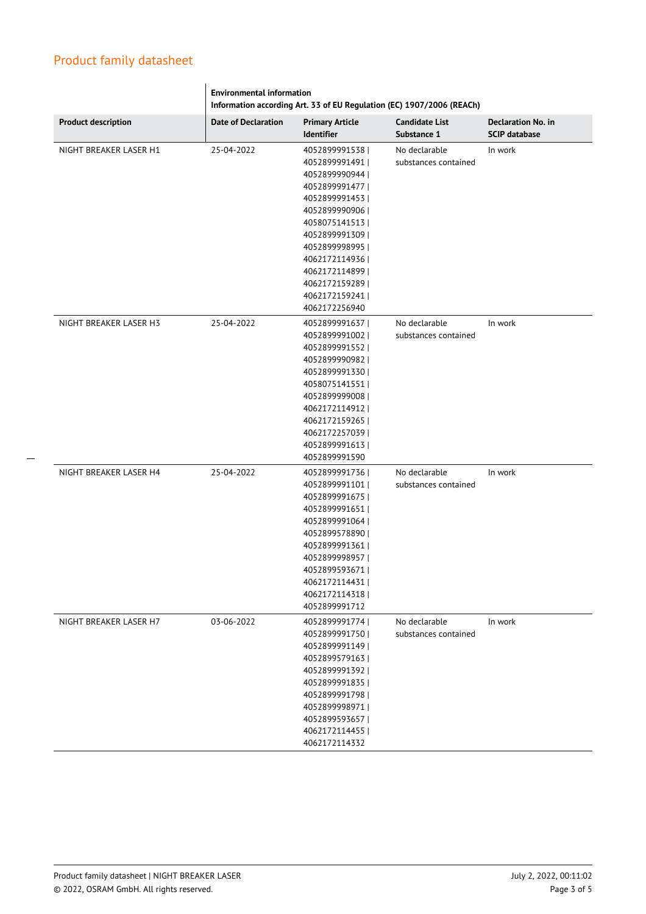|                            | <b>Environmental information</b><br>Information according Art. 33 of EU Regulation (EC) 1907/2006 (REACh) |                                      |                                      |                                                   |  |  |  |
|----------------------------|-----------------------------------------------------------------------------------------------------------|--------------------------------------|--------------------------------------|---------------------------------------------------|--|--|--|
| <b>Product description</b> | <b>Date of Declaration</b>                                                                                | <b>Primary Article</b><br>Identifier | <b>Candidate List</b><br>Substance 1 | <b>Declaration No. in</b><br><b>SCIP database</b> |  |  |  |
| NIGHT BREAKER LASER H1     | 25-04-2022                                                                                                | 4052899991538                        | No declarable                        | In work                                           |  |  |  |
|                            |                                                                                                           | 4052899991491                        | substances contained                 |                                                   |  |  |  |
|                            |                                                                                                           | 4052899990944                        |                                      |                                                   |  |  |  |
|                            |                                                                                                           | 4052899991477                        |                                      |                                                   |  |  |  |
|                            |                                                                                                           | 4052899991453                        |                                      |                                                   |  |  |  |
|                            |                                                                                                           | 4052899990906                        |                                      |                                                   |  |  |  |
|                            |                                                                                                           | 4058075141513                        |                                      |                                                   |  |  |  |
|                            |                                                                                                           | 4052899991309                        |                                      |                                                   |  |  |  |
|                            |                                                                                                           | 4052899998995                        |                                      |                                                   |  |  |  |
|                            |                                                                                                           | 4062172114936                        |                                      |                                                   |  |  |  |
|                            |                                                                                                           | 4062172114899                        |                                      |                                                   |  |  |  |
|                            |                                                                                                           | 4062172159289                        |                                      |                                                   |  |  |  |
|                            |                                                                                                           | 4062172159241                        |                                      |                                                   |  |  |  |
|                            |                                                                                                           | 4062172256940                        |                                      |                                                   |  |  |  |
| NIGHT BREAKER LASER H3     | 25-04-2022                                                                                                | 4052899991637                        | No declarable                        | In work                                           |  |  |  |
|                            |                                                                                                           | 4052899991002                        | substances contained                 |                                                   |  |  |  |
|                            |                                                                                                           | 4052899991552                        |                                      |                                                   |  |  |  |
|                            |                                                                                                           | 4052899990982                        |                                      |                                                   |  |  |  |
|                            |                                                                                                           | 4052899991330                        |                                      |                                                   |  |  |  |
|                            |                                                                                                           | 4058075141551                        |                                      |                                                   |  |  |  |
|                            |                                                                                                           | 4052899999008                        |                                      |                                                   |  |  |  |
|                            |                                                                                                           | 4062172114912                        |                                      |                                                   |  |  |  |
|                            |                                                                                                           | 4062172159265                        |                                      |                                                   |  |  |  |
|                            |                                                                                                           | 4062172257039                        |                                      |                                                   |  |  |  |
|                            |                                                                                                           | 4052899991613                        |                                      |                                                   |  |  |  |
|                            |                                                                                                           | 4052899991590                        |                                      |                                                   |  |  |  |
| NIGHT BREAKER LASER H4     | 25-04-2022                                                                                                | 4052899991736                        | No declarable                        | In work                                           |  |  |  |
|                            |                                                                                                           | 4052899991101                        | substances contained                 |                                                   |  |  |  |
|                            |                                                                                                           | 4052899991675                        |                                      |                                                   |  |  |  |
|                            |                                                                                                           | 4052899991651                        |                                      |                                                   |  |  |  |
|                            |                                                                                                           | 4052899991064                        |                                      |                                                   |  |  |  |
|                            |                                                                                                           | 4052899578890                        |                                      |                                                   |  |  |  |
|                            |                                                                                                           | 4052899991361                        |                                      |                                                   |  |  |  |
|                            |                                                                                                           | 40528999989571                       |                                      |                                                   |  |  |  |
|                            |                                                                                                           | 4052899593671                        |                                      |                                                   |  |  |  |
|                            |                                                                                                           | 4062172114431                        |                                      |                                                   |  |  |  |
|                            |                                                                                                           | 4062172114318                        |                                      |                                                   |  |  |  |
|                            |                                                                                                           | 4052899991712                        |                                      |                                                   |  |  |  |
|                            |                                                                                                           |                                      |                                      |                                                   |  |  |  |
| NIGHT BREAKER LASER H7     | 03-06-2022                                                                                                | 4052899991774                        | No declarable                        | In work                                           |  |  |  |
|                            |                                                                                                           | 4052899991750                        | substances contained                 |                                                   |  |  |  |
|                            |                                                                                                           | 4052899991149  <br>4052899579163     |                                      |                                                   |  |  |  |
|                            |                                                                                                           | 4052899991392                        |                                      |                                                   |  |  |  |
|                            |                                                                                                           | 4052899991835                        |                                      |                                                   |  |  |  |
|                            |                                                                                                           | 4052899991798                        |                                      |                                                   |  |  |  |
|                            |                                                                                                           |                                      |                                      |                                                   |  |  |  |
|                            |                                                                                                           | 4052899998971                        |                                      |                                                   |  |  |  |
|                            |                                                                                                           | 4052899593657                        |                                      |                                                   |  |  |  |
|                            |                                                                                                           | 4062172114455                        |                                      |                                                   |  |  |  |
|                            |                                                                                                           | 4062172114332                        |                                      |                                                   |  |  |  |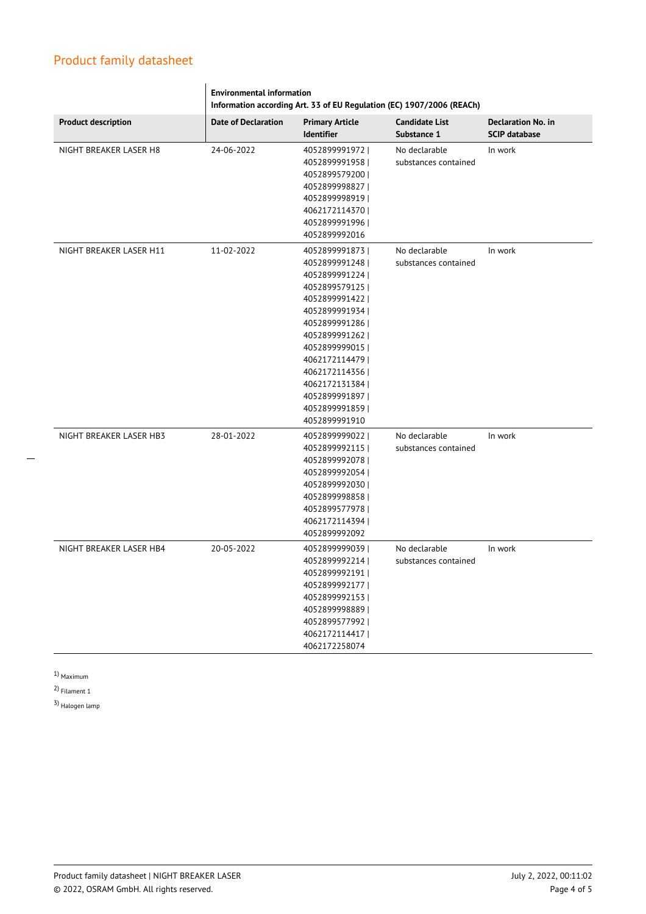|                            | <b>Environmental information</b><br>Information according Art. 33 of EU Regulation (EC) 1907/2006 (REACh) |                                                                                                                                                                                                                                                                           |                                       |                                                   |  |
|----------------------------|-----------------------------------------------------------------------------------------------------------|---------------------------------------------------------------------------------------------------------------------------------------------------------------------------------------------------------------------------------------------------------------------------|---------------------------------------|---------------------------------------------------|--|
| <b>Product description</b> | <b>Date of Declaration</b>                                                                                | <b>Primary Article</b><br><b>Identifier</b>                                                                                                                                                                                                                               | <b>Candidate List</b><br>Substance 1  | <b>Declaration No. in</b><br><b>SCIP database</b> |  |
| NIGHT BREAKER LASER H8     | 24-06-2022                                                                                                | 4052899991972<br>4052899991958  <br>4052899579200  <br>4052899998827  <br>4052899998919  <br>4062172114370<br>4052899991996<br>4052899992016                                                                                                                              | No declarable<br>substances contained | In work                                           |  |
| NIGHT BREAKER LASER H11    | 11-02-2022                                                                                                | 4052899991873<br>4052899991248  <br>4052899991224<br>4052899579125  <br>4052899991422  <br>4052899991934<br>4052899991286  <br>4052899991262  <br>4052899999015  <br>4062172114479  <br>4062172114356<br>4062172131384<br>4052899991897<br>4052899991859<br>4052899991910 | No declarable<br>substances contained | In work                                           |  |
| NIGHT BREAKER LASER HB3    | 28-01-2022                                                                                                | 4052899999022  <br>4052899992115  <br>4052899992078  <br>4052899992054<br>4052899992030  <br>4052899998858  <br>40528995779781<br>4062172114394  <br>4052899992092                                                                                                        | No declarable<br>substances contained | In work                                           |  |
| NIGHT BREAKER LASER HB4    | 20-05-2022                                                                                                | 4052899999039<br>4052899992214<br>4052899992191  <br>4052899992177  <br>4052899992153<br>40528999988891<br>40528995779921<br>4062172114417  <br>4062172258074                                                                                                             | No declarable<br>substances contained | In work                                           |  |

 $\overline{\phantom{a}}$ 

1) Maximum

2) Filament 1

3) Halogen lamp